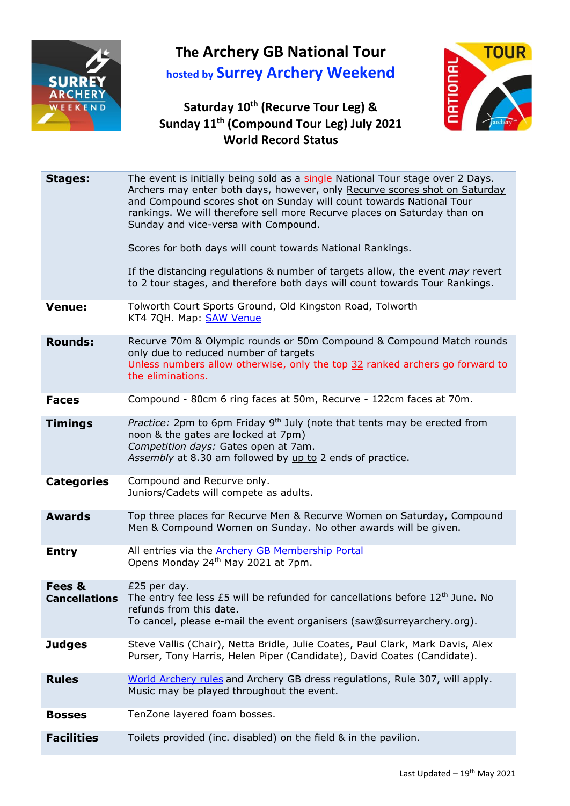

## **The Archery GB National Tour hosted by Surrey Archery Weekend**

## **Saturday 10 th (Recurve Tour Leg) & Sunday 11 th (Compound Tour Leg) July 2021 World Record Status**



| <b>Stages:</b>          | The event is initially being sold as a single National Tour stage over 2 Days.<br>Archers may enter both days, however, only Recurve scores shot on Saturday<br>and Compound scores shot on Sunday will count towards National Tour<br>rankings. We will therefore sell more Recurve places on Saturday than on<br>Sunday and vice-versa with Compound.<br>Scores for both days will count towards National Rankings.<br>If the distancing regulations & number of targets allow, the event <i>may</i> revert<br>to 2 tour stages, and therefore both days will count towards Tour Rankings. |  |
|-------------------------|----------------------------------------------------------------------------------------------------------------------------------------------------------------------------------------------------------------------------------------------------------------------------------------------------------------------------------------------------------------------------------------------------------------------------------------------------------------------------------------------------------------------------------------------------------------------------------------------|--|
| <b>Venue:</b>           | Tolworth Court Sports Ground, Old Kingston Road, Tolworth<br>KT4 7QH. Map: SAW Venue                                                                                                                                                                                                                                                                                                                                                                                                                                                                                                         |  |
| <b>Rounds:</b>          | Recurve 70m & Olympic rounds or 50m Compound & Compound Match rounds<br>only due to reduced number of targets<br>Unless numbers allow otherwise, only the top 32 ranked archers go forward to<br>the eliminations.                                                                                                                                                                                                                                                                                                                                                                           |  |
| <b>Faces</b>            | Compound - 80cm 6 ring faces at 50m, Recurve - 122cm faces at 70m.                                                                                                                                                                                                                                                                                                                                                                                                                                                                                                                           |  |
| <b>Timings</b>          | Practice: 2pm to 6pm Friday 9 <sup>th</sup> July (note that tents may be erected from<br>noon & the gates are locked at 7pm)<br>Competition days: Gates open at 7am.<br>Assembly at 8.30 am followed by up to 2 ends of practice.                                                                                                                                                                                                                                                                                                                                                            |  |
| <b>Categories</b>       | Compound and Recurve only.<br>Juniors/Cadets will compete as adults.                                                                                                                                                                                                                                                                                                                                                                                                                                                                                                                         |  |
| <b>Awards</b>           | Top three places for Recurve Men & Recurve Women on Saturday, Compound<br>Men & Compound Women on Sunday. No other awards will be given.                                                                                                                                                                                                                                                                                                                                                                                                                                                     |  |
| <b>Entry</b>            | All entries via the <b>Archery GB Membership Portal</b><br>Opens Monday 24 <sup>th</sup> May 2021 at 7pm.                                                                                                                                                                                                                                                                                                                                                                                                                                                                                    |  |
| Fees &<br>Cancellations | £25 per day.<br>The entry fee less £5 will be refunded for cancellations before 12 <sup>th</sup> June. No<br>refunds from this date.<br>To cancel, please e-mail the event organisers (saw@surreyarchery.org).                                                                                                                                                                                                                                                                                                                                                                               |  |
| <b>Judges</b>           | Steve Vallis (Chair), Netta Bridle, Julie Coates, Paul Clark, Mark Davis, Alex<br>Purser, Tony Harris, Helen Piper (Candidate), David Coates (Candidate).                                                                                                                                                                                                                                                                                                                                                                                                                                    |  |
| <b>Rules</b>            | World Archery rules and Archery GB dress regulations, Rule 307, will apply.<br>Music may be played throughout the event.                                                                                                                                                                                                                                                                                                                                                                                                                                                                     |  |
| <b>Bosses</b>           | TenZone layered foam bosses.                                                                                                                                                                                                                                                                                                                                                                                                                                                                                                                                                                 |  |
| <b>Facilities</b>       | Toilets provided (inc. disabled) on the field & in the pavilion.                                                                                                                                                                                                                                                                                                                                                                                                                                                                                                                             |  |